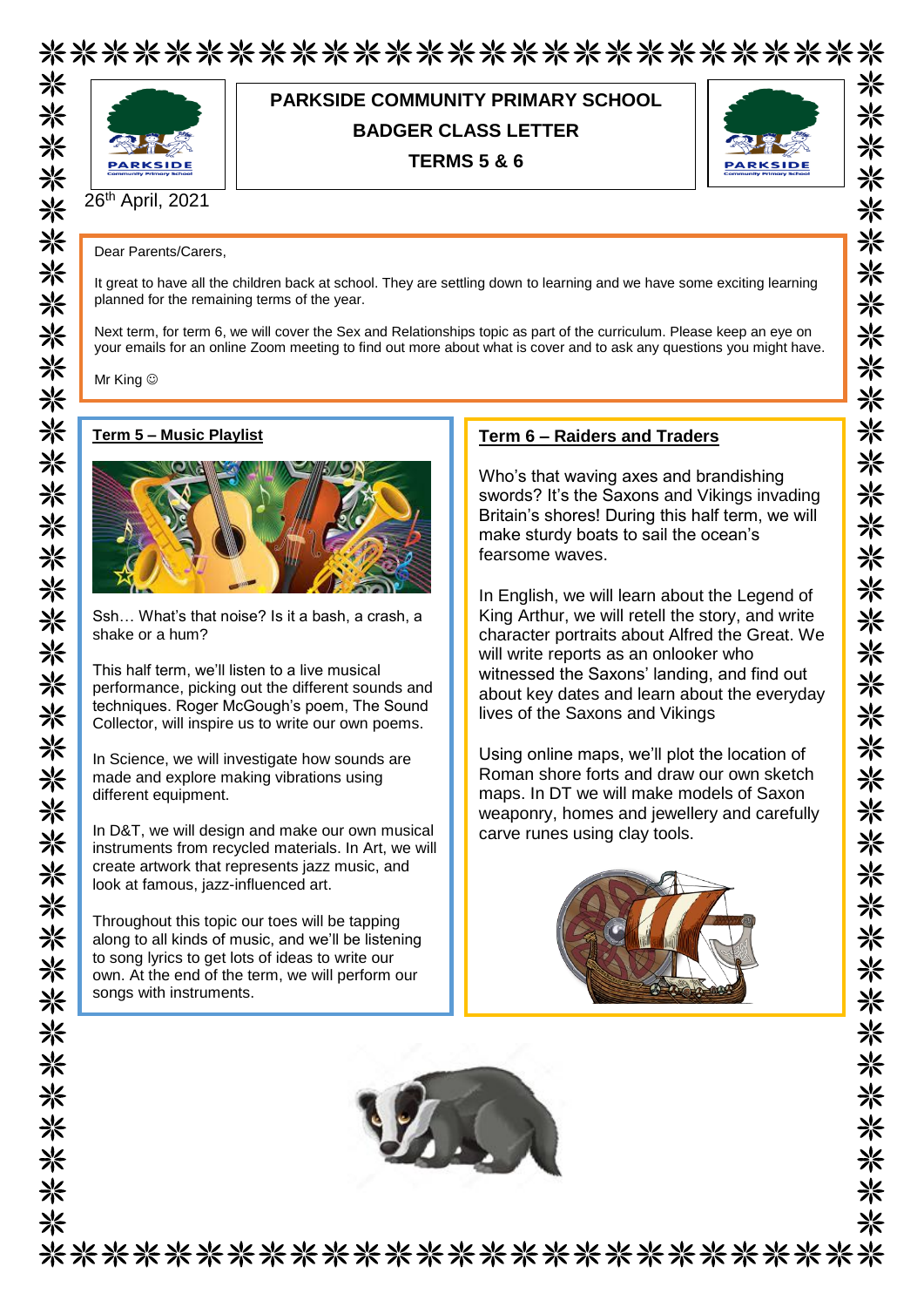



## **PARKSIDE COMMUNITY PRIMARY SCHOOL BADGER CLASS LETTER TERMS 5 & 6**



米

米

⋇

米

米

☀ 兴 米

米

⋇

米 米

米

米 米

米

米米米

氺

氺

米

☀

⋇

☀ 米

米

米

☀ 米

米

米

米 米

米

⋇

26 th April, 2021

Dear Parents/Carers,

It great to have all the children back at school. They are settling down to learning and we have some exciting learning planned for the remaining terms of the year.

Next term, for term 6, we will cover the Sex and Relationships topic as part of the curriculum. Please keep an eye on your emails for an online Zoom meeting to find out more about what is cover and to ask any questions you might have.

Mr King  $\odot$ 

#### **Term 5 – Music Playlist**



Ssh… What's that noise? Is it a bash, a crash, a shake or a hum?

This half term, we'll listen to a live musical performance, picking out the different sounds and techniques. Roger McGough's poem, The Sound Collector, will inspire us to write our own poems.

In Science, we will investigate how sounds are made and explore making vibrations using different equipment.

In D&T, we will design and make our own musical instruments from recycled materials. In Art, we will create artwork that represents jazz music, and look at famous, jazz-influenced art.

Throughout this topic our toes will be tapping along to all kinds of music, and we'll be listening to song lyrics to get lots of ideas to write our own. At the end of the term, we will perform our songs with instruments.

#### **Term 6 – Raiders and Traders**

Who's that waving axes and brandishing swords? It's the Saxons and Vikings invading Britain's shores! During this half term, we will make sturdy boats to sail the ocean's fearsome waves.

In English, we will learn about the Legend of King Arthur, we will retell the story, and write character portraits about Alfred the Great. We will write reports as an onlooker who witnessed the Saxons' landing, and find out about key dates and learn about the everyday lives of the Saxons and Vikings

Using online maps, we'll plot the location of Roman shore forts and draw our own sketch maps. In DT we will make models of Saxon weaponry, homes and jewellery and carefully carve runes using clay tools.





\*\*\*\*\*\*\*\*\*\*\*\*\*\*\*\*\*\*\*\*\*\*\*\*\*\*\*